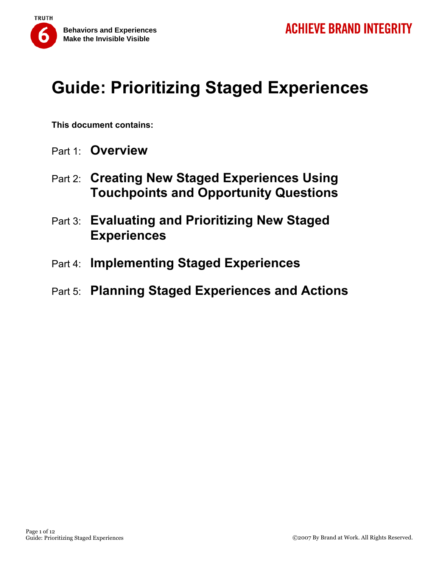

**This document contains:** 

- Part 1: **Overview**
- Part 2: **Creating New Staged Experiences Using Touchpoints and Opportunity Questions**
- Part 3: **Evaluating and Prioritizing New Staged Experiences**
- Part 4: **Implementing Staged Experiences**
- Part 5: **Planning Staged Experiences and Actions**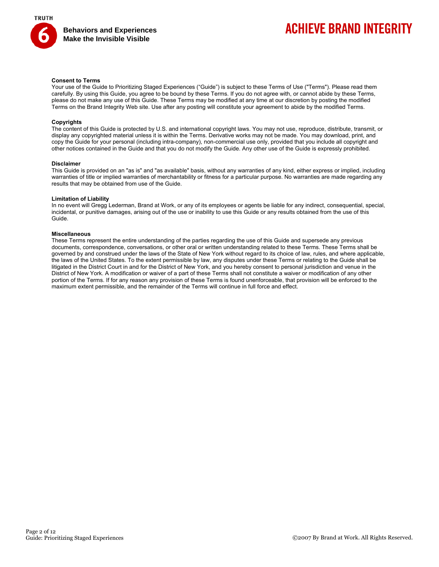

## **ACHIEVE BRAND INTEGRITY**

#### **Consent to Terms**

Your use of the Guide to Prioritizing Staged Experiences ("Guide") is subject to these Terms of Use ("Terms"). Please read them carefully. By using this Guide, you agree to be bound by these Terms. If you do not agree with, or cannot abide by these Terms, please do not make any use of this Guide. These Terms may be modified at any time at our discretion by posting the modified Terms on the Brand Integrity Web site. Use after any posting will constitute your agreement to abide by the modified Terms.

#### **Copyrights**

The content of this Guide is protected by U.S. and international copyright laws. You may not use, reproduce, distribute, transmit, or display any copyrighted material unless it is within the Terms. Derivative works may not be made. You may download, print, and copy the Guide for your personal (including intra-company), non-commercial use only, provided that you include all copyright and other notices contained in the Guide and that you do not modify the Guide. Any other use of the Guide is expressly prohibited.

#### **Disclaimer**

This Guide is provided on an "as is" and "as available" basis, without any warranties of any kind, either express or implied, including warranties of title or implied warranties of merchantability or fitness for a particular purpose. No warranties are made regarding any results that may be obtained from use of the Guide.

#### **Limitation of Liability**

In no event will Gregg Lederman, Brand at Work, or any of its employees or agents be liable for any indirect, consequential, special, incidental, or punitive damages, arising out of the use or inability to use this Guide or any results obtained from the use of this Guide.

#### **Miscellaneous**

These Terms represent the entire understanding of the parties regarding the use of this Guide and supersede any previous documents, correspondence, conversations, or other oral or written understanding related to these Terms. These Terms shall be governed by and construed under the laws of the State of New York without regard to its choice of law, rules, and where applicable, the laws of the United States. To the extent permissible by law, any disputes under these Terms or relating to the Guide shall be litigated in the District Court in and for the District of New York, and you hereby consent to personal jurisdiction and venue in the District of New York. A modification or waiver of a part of these Terms shall not constitute a waiver or modification of any other portion of the Terms. If for any reason any provision of these Terms is found unenforceable, that provision will be enforced to the maximum extent permissible, and the remainder of the Terms will continue in full force and effect.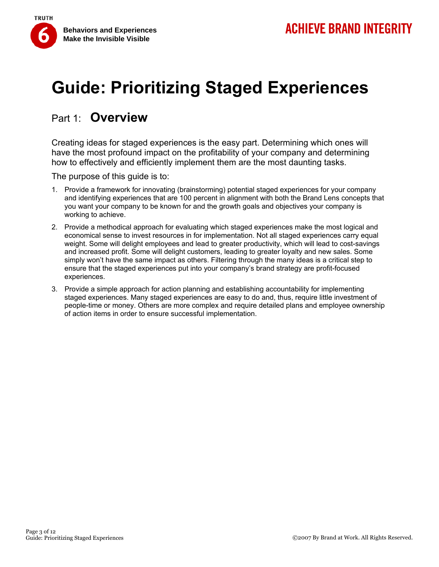

### Part 1: **Overview**

Creating ideas for staged experiences is the easy part. Determining which ones will have the most profound impact on the profitability of your company and determining how to effectively and efficiently implement them are the most daunting tasks.

The purpose of this guide is to:

- 1. Provide a framework for innovating (brainstorming) potential staged experiences for your company and identifying experiences that are 100 percent in alignment with both the Brand Lens concepts that you want your company to be known for and the growth goals and objectives your company is working to achieve.
- 2. Provide a methodical approach for evaluating which staged experiences make the most logical and economical sense to invest resources in for implementation. Not all staged experiences carry equal weight. Some will delight employees and lead to greater productivity, which will lead to cost-savings and increased profit. Some will delight customers, leading to greater loyalty and new sales. Some simply won't have the same impact as others. Filtering through the many ideas is a critical step to ensure that the staged experiences put into your company's brand strategy are profit-focused experiences.
- 3. Provide a simple approach for action planning and establishing accountability for implementing staged experiences. Many staged experiences are easy to do and, thus, require little investment of people-time or money. Others are more complex and require detailed plans and employee ownership of action items in order to ensure successful implementation.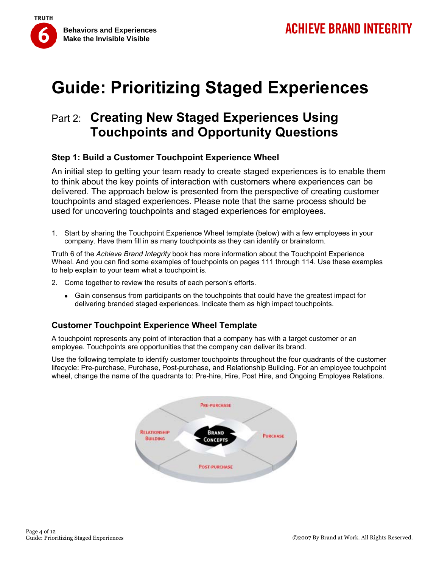

## Part 2: **Creating New Staged Experiences Using Touchpoints and Opportunity Questions**

### **Step 1: Build a Customer Touchpoint Experience Wheel**

An initial step to getting your team ready to create staged experiences is to enable them to think about the key points of interaction with customers where experiences can be delivered. The approach below is presented from the perspective of creating customer touchpoints and staged experiences. Please note that the same process should be used for uncovering touchpoints and staged experiences for employees.

1. Start by sharing the Touchpoint Experience Wheel template (below) with a few employees in your company. Have them fill in as many touchpoints as they can identify or brainstorm.

Truth 6 of the *Achieve Brand Integrity* book has more information about the Touchpoint Experience Wheel. And you can find some examples of touchpoints on pages 111 through 114. Use these examples to help explain to your team what a touchpoint is.

- 2. Come together to review the results of each person's efforts.
	- Gain consensus from participants on the touchpoints that could have the greatest impact for delivering branded staged experiences. Indicate them as high impact touchpoints.

### **Customer Touchpoint Experience Wheel Template**

A touchpoint represents any point of interaction that a company has with a target customer or an employee. Touchpoints are opportunities that the company can deliver its brand.

Use the following template to identify customer touchpoints throughout the four quadrants of the customer lifecycle: Pre-purchase, Purchase, Post-purchase, and Relationship Building. For an employee touchpoint wheel, change the name of the quadrants to: Pre-hire, Hire, Post Hire, and Ongoing Employee Relations.

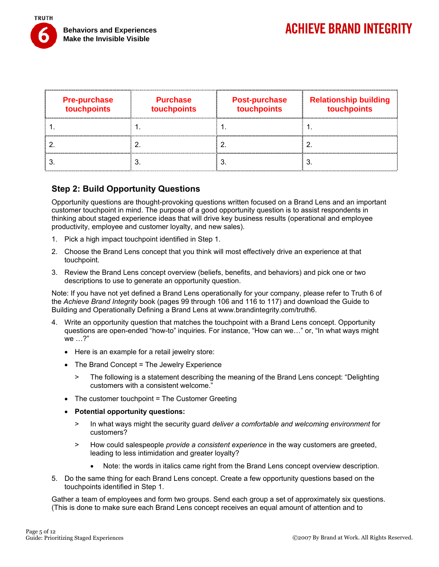

| <b>Pre-purchase</b><br>touchpoints | <b>Purchase</b><br>touchpoints | <b>Post-purchase</b><br>touchpoints | <b>Relationship building</b><br>touchpoints |
|------------------------------------|--------------------------------|-------------------------------------|---------------------------------------------|
|                                    |                                |                                     |                                             |
|                                    |                                |                                     |                                             |
|                                    |                                |                                     |                                             |

### **Step 2: Build Opportunity Questions**

Opportunity questions are thought-provoking questions written focused on a Brand Lens and an important customer touchpoint in mind. The purpose of a good opportunity question is to assist respondents in thinking about staged experience ideas that will drive key business results (operational and employee productivity, employee and customer loyalty, and new sales).

- 1. Pick a high impact touchpoint identified in Step 1.
- 2. Choose the Brand Lens concept that you think will most effectively drive an experience at that touchpoint.
- 3. Review the Brand Lens concept overview (beliefs, benefits, and behaviors) and pick one or two descriptions to use to generate an opportunity question.

Note: If you have not yet defined a Brand Lens operationally for your company, please refer to Truth 6 of the *Achieve Brand Integrity* book (pages 99 through 106 and 116 to 117) and download the Guide to Building and Operationally Defining a Brand Lens at www.brandintegrity.com/truth6.

- 4. Write an opportunity question that matches the touchpoint with a Brand Lens concept. Opportunity questions are open-ended "how-to" inquiries. For instance, "How can we…" or, "In what ways might we …?"
	- Here is an example for a retail jewelry store:
	- The Brand Concept = The Jewelry Experience
		- > The following is a statement describing the meaning of the Brand Lens concept: "Delighting customers with a consistent welcome."
	- The customer touchpoint = The Customer Greeting
	- **Potential opportunity questions:**
		- > In what ways might the security guard *deliver a comfortable and welcoming environment* for customers?
		- > How could salespeople *provide a consistent experience* in the way customers are greeted, leading to less intimidation and greater loyalty?
			- Note: the words in italics came right from the Brand Lens concept overview description.
- 5. Do the same thing for each Brand Lens concept. Create a few opportunity questions based on the touchpoints identified in Step 1.

Gather a team of employees and form two groups. Send each group a set of approximately six questions. (This is done to make sure each Brand Lens concept receives an equal amount of attention and to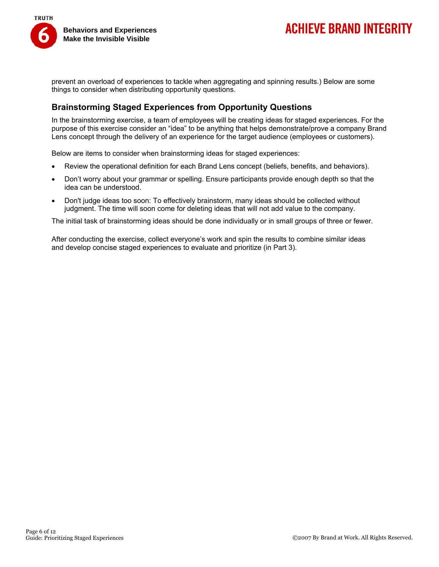

## **ACHIEVE BRAND INTEGRITY**

prevent an overload of experiences to tackle when aggregating and spinning results.) Below are some things to consider when distributing opportunity questions.

### **Brainstorming Staged Experiences from Opportunity Questions**

In the brainstorming exercise, a team of employees will be creating ideas for staged experiences. For the purpose of this exercise consider an "idea" to be anything that helps demonstrate/prove a company Brand Lens concept through the delivery of an experience for the target audience (employees or customers).

Below are items to consider when brainstorming ideas for staged experiences:

- Review the operational definition for each Brand Lens concept (beliefs, benefits, and behaviors).
- Don't worry about your grammar or spelling. Ensure participants provide enough depth so that the idea can be understood.
- Don't judge ideas too soon: To effectively brainstorm, many ideas should be collected without judgment. The time will soon come for deleting ideas that will not add value to the company.

The initial task of brainstorming ideas should be done individually or in small groups of three or fewer.

After conducting the exercise, collect everyone's work and spin the results to combine similar ideas and develop concise staged experiences to evaluate and prioritize (in Part 3).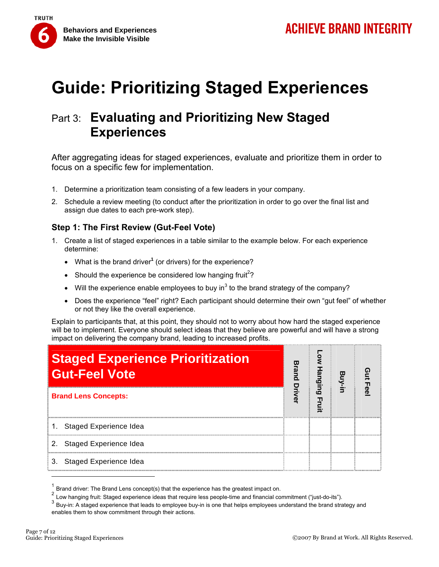

## Part 3: **Evaluating and Prioritizing New Staged Experiences**

After aggregating ideas for staged experiences, evaluate and prioritize them in order to focus on a specific few for implementation.

- 1. Determine a prioritization team consisting of a few leaders in your company.
- 2. Schedule a review meeting (to conduct after the prioritization in order to go over the final list and assign due dates to each pre-work step).

### **Step 1: The First Review (Gut-Feel Vote)**

- 1. Create a list of staged experiences in a table similar to the example below. For each experience determine:
	- What is the brand driver**<sup>1</sup>** (or drivers) for the experience?
	- Should the experience be considered low hanging fruit<sup>2</sup>?
	- Will the experience enable employees to buy in<sup>3</sup> to the brand strategy of the company?
	- Does the experience "feel" right? Each participant should determine their own "gut feel" of whether or not they like the overall experience.

Explain to participants that, at this point, they should not to worry about how hard the staged experience will be to implement. Everyone should select ideas that they believe are powerful and will have a strong impact on delivering the company brand, leading to increased profits.

| <b>Staged Experience Prioritization</b><br><b>Gut-Feel Vote</b><br><b>Brand Lens Concepts:</b> |  | āin |  | Π |
|------------------------------------------------------------------------------------------------|--|-----|--|---|
|                                                                                                |  | ര   |  |   |
| Staged Experience Idea                                                                         |  |     |  |   |
| 2. Staged Experience Idea                                                                      |  |     |  |   |
| Staged Experience Idea<br>3.                                                                   |  |     |  |   |

Brand driver: The Brand Lens concept(s) that the experience has the greatest impact on.

 $2$  Low hanging fruit: Staged experience ideas that require less people-time and financial commitment ("just-do-its").

<sup>&</sup>lt;sup>3</sup> Buy-in: A staged experience that leads to employee buy-in is one that helps employees understand the brand strategy and enables them to show commitment through their actions.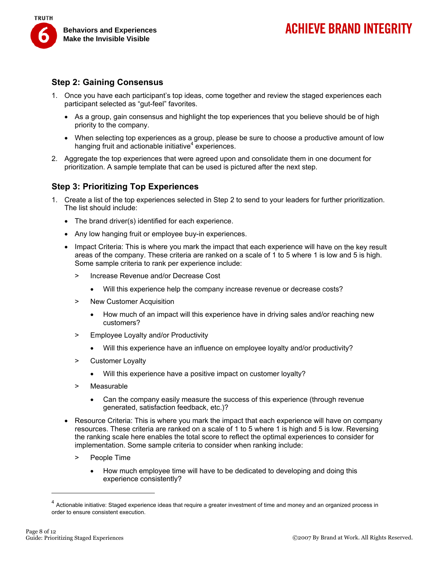

#### **Step 2: Gaining Consensus**

- 1. Once you have each participant's top ideas, come together and review the staged experiences each participant selected as "gut-feel" favorites.
	- As a group, gain consensus and highlight the top experiences that you believe should be of high priority to the company.
	- When selecting top experiences as a group, please be sure to choose a productive amount of low hanging fruit and actionable initiative<sup>4</sup> experiences.
- 2. Aggregate the top experiences that were agreed upon and consolidate them in one document for prioritization. A sample template that can be used is pictured after the next step.

### **Step 3: Prioritizing Top Experiences**

- 1. Create a list of the top experiences selected in Step 2 to send to your leaders for further prioritization. The list should include:
	- The brand driver(s) identified for each experience.
	- Any low hanging fruit or employee buy-in experiences.
	- Impact Criteria: This is where you mark the impact that each experience will have on the key result areas of the company. These criteria are ranked on a scale of 1 to 5 where 1 is low and 5 is high. Some sample criteria to rank per experience include:
		- > Increase Revenue and/or Decrease Cost
			- Will this experience help the company increase revenue or decrease costs?
		- > New Customer Acquisition
			- How much of an impact will this experience have in driving sales and/or reaching new customers?
		- > Employee Loyalty and/or Productivity
			- Will this experience have an influence on employee loyalty and/or productivity?
		- > Customer Loyalty
			- Will this experience have a positive impact on customer loyalty?
		- > Measurable
			- Can the company easily measure the success of this experience (through revenue generated, satisfaction feedback, etc.)?
	- Resource Criteria: This is where you mark the impact that each experience will have on company resources. These criteria are ranked on a scale of 1 to 5 where 1 is high and 5 is low. Reversing the ranking scale here enables the total score to reflect the optimal experiences to consider for implementation. Some sample criteria to consider when ranking include:
		- > People Time
			- How much employee time will have to be dedicated to developing and doing this experience consistently?

 $^4$  Actionable initiative: Staged experience ideas that require a greater investment of time and money and an organized process in order to ensure consistent execution.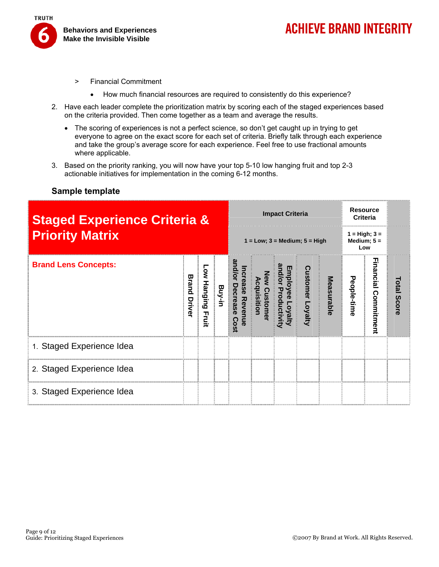

- > Financial Commitment
	- How much financial resources are required to consistently do this experience?
- 2. Have each leader complete the prioritization matrix by scoring each of the staged experiences based on the criteria provided. Then come together as a team and average the results.
	- The scoring of experiences is not a perfect science, so don't get caught up in trying to get everyone to agree on the exact score for each set of criteria. Briefly talk through each experience and take the group's average score for each experience. Feel free to use fractional amounts where applicable.
- 3. Based on the priority ranking, you will now have your top 5-10 low hanging fruit and top 2-3 actionable initiatives for implementation in the coming 6-12 months.

#### **Sample template**

| <b>Staged Experience Criteria &amp;</b> |                 |                      |        | <b>Impact Criteria</b>                |  |  |                   | <b>Resource</b><br><b>Criteria</b>      |             |                  |                       |
|-----------------------------------------|-----------------|----------------------|--------|---------------------------------------|--|--|-------------------|-----------------------------------------|-------------|------------------|-----------------------|
| <b>Priority Matrix</b>                  |                 |                      |        | $1 = Low$ ; $3 = Medium$ ; $5 = High$ |  |  |                   | $1 = High; 3 =$<br>Medium; $5 =$<br>Low |             |                  |                       |
| <b>Brand Lens Concepts:</b>             | Brand<br>Driver | Low Hanging<br>Fruit | Buy-in | Decreas<br>ັທ<br>Revel                |  |  | stomer<br>Loyalty | Measurable                              | People-time | Incial<br>ommitm | Total<br><b>Score</b> |
| 1. Staged Experience Idea               |                 |                      |        |                                       |  |  |                   |                                         |             |                  |                       |
| 2. Staged Experience Idea               |                 |                      |        |                                       |  |  |                   |                                         |             |                  |                       |
| 3. Staged Experience Idea               |                 |                      |        |                                       |  |  |                   |                                         |             |                  |                       |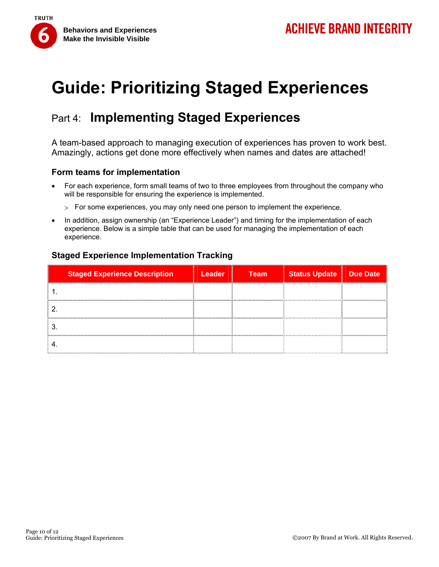

## Part 4: **Implementing Staged Experiences**

A team-based approach to managing execution of experiences has proven to work best. Amazingly, actions get done more effectively when names and dates are attached!

### **Form teams for implementation**

- For each experience, form small teams of two to three employees from throughout the company who will be responsible for ensuring the experience is implemented.
	- > For some experiences, you may only need one person to implement the experience.
- In addition, assign ownership (an "Experience Leader") and timing for the implementation of each experience. Below is a simple table that can be used for managing the implementation of each experience.

### **Staged Experience Implementation Tracking**

| <b>Staged Experience Description</b> | <b>Leader</b> | <b>Team</b> | <b>Status Update</b> | Due Date |
|--------------------------------------|---------------|-------------|----------------------|----------|
|                                      |               |             |                      |          |
|                                      |               |             |                      |          |
|                                      |               |             |                      |          |
|                                      |               |             |                      |          |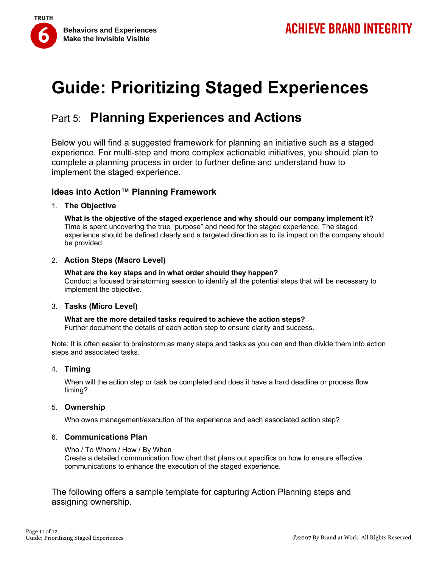

## Part 5: **Planning Experiences and Actions**

Below you will find a suggested framework for planning an initiative such as a staged experience. For multi-step and more complex actionable initiatives, you should plan to complete a planning process in order to further define and understand how to implement the staged experience.

### **Ideas into Action™ Planning Framework**

#### 1. **The Objective**

**What is the objective of the staged experience and why should our company implement it?** Time is spent uncovering the true "purpose" and need for the staged experience. The staged experience should be defined clearly and a targeted direction as to its impact on the company should be provided.

#### 2. **Action Steps (Macro Level)**

**What are the key steps and in what order should they happen?** Conduct a focused brainstorming session to identify all the potential steps that will be necessary to implement the objective.

#### 3. **Tasks (Micro Level)**

**What are the more detailed tasks required to achieve the action steps?** Further document the details of each action step to ensure clarity and success.

Note: It is often easier to brainstorm as many steps and tasks as you can and then divide them into action steps and associated tasks.

#### 4. **Timing**

When will the action step or task be completed and does it have a hard deadline or process flow timing?

#### 5. **Ownership**

Who owns management/execution of the experience and each associated action step?

#### 6. **Communications Plan**

#### Who / To Whom / How / By When

Create a detailed communication flow chart that plans out specifics on how to ensure effective communications to enhance the execution of the staged experience.

The following offers a sample template for capturing Action Planning steps and assigning ownership.